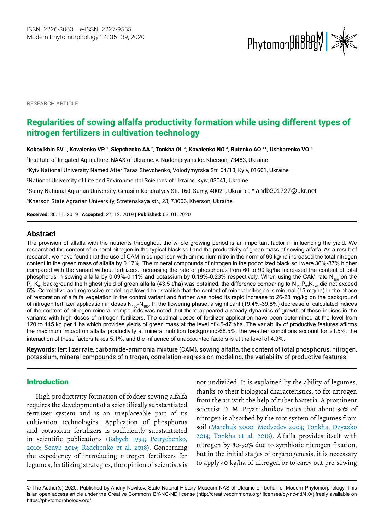

RESEARCH ARTICLE

# **Regularities of sowing alfalfa productivity formation while using different types of nitrogen fertilizers in cultivation technology**

**Kokovikhin SV 1 , Kovalenko VP 1 , Slepchenko AA 2 , Tonkha OL 3 , Kovalenko NO 3 , Butenko AO 4 \*, Ushkarenko VO 5**

Institute of Irrigated Agriculture, NAAS of Ukraine, v. Naddnipryans ke, Kherson, 73483, Ukraine<sup>, 1</sup>

2 Kyiv National University Named After Taras Shevchenko, Volodymyrska Str. 64/13, Kyiv, 01601, Ukraine

3National University of Life and Environmental Sciences of Ukraine, Kyiv, 03041, Ukraine

4 Sumy National Agrarian University, Gerasim Kondratyev Str. 160, Sumy, 40021, Ukraine ; \* andb201727@ukr.net

5 Kherson State Agrarian University, Stretenskaya str., 23, 73006, Kherson, Ukraine

**Received:** 30. 11. 2019 | **Accepted:** 27. 12. 2019 | **Published:** 03. 01. 2020

## **Abstract**

The provision of alfalfa with the nutrients throughout the whole growing period is an important factor in influencing the yield. We researched the content of mineral nitrogen in the typical black soil and the productivity of green mass of sowing alfalfa. As a result of research, we have found that the use of CAM in comparison with ammonium nitre in the norm of 90 kg/ha increased the total nitrogen content in the green mass of alfalfa by 0.17%. The mineral compounds of nitrogen in the podzolized black soil were 36%-87% higher compared with the variant without fertilizers. Increasing the rate of phosphorus from 60 to 90 kg/ha increased the content of total phosphorus in sowing alfalfa by 0.09%-0.11% and potassium by 0.19%-0.23% respectively. When using the CAM rate N<sub>180</sub> on the  $P_{60}K_{60}$  background the highest yield of green alfalfa (43.5 t/ha) was obtained, the difference comparing to  $N_{110}P_{90}K_{120}$  did not exceed 5%. Correlative and regressive modeling allowed to establish that the content of mineral nitrogen is minimal (15 mg/ha) in the phase of restoration of alfalfa vegetation in the control variant and further was noted its rapid increase to 26-28 mg/kg on the background of nitrogen fertilizer application in doses  $N_{150}N_{180}$ . In the flowering phase, a significant (19.4%-39.8%) decrease of calculated indices of the content of nitrogen mineral compounds was noted, but there appeared a steady dynamics of growth of these indices in the variants with high doses of nitrogen fertilizers. The optimal doses of fertilizer application have been determined at the level from 120 to 145 kg per 1 ha which provides yields of green mass at the level of 45-47 t/ha. The variability of productive features affirms the maximum impact on alfalfa productivity at mineral nutrition background-68.5%, the weather conditions account for 21.5%, the interaction of these factors takes 5.1%, and the influence of unaccounted factors is at the level of 4.9%.

**Keywords:** fertilizer rate, carbamide-ammonia mixture (CAM), sowing alfalfa, the content of total phosphorus, nitrogen, potassium, mineral compounds of nitrogen, correlation-regression modeling, the variability of productive features

## Introduction

High productivity formation of fodder sowing alfalfa requires the development of a scientifically substantiated fertilizer system and is an irreplaceable part of its cultivation technologies. Application of phosphorus and potassium fertilizers is sufficiently substantiated in scientific publications (Babych 1994; Petrychenko, 2010; Senyk 2019; Radchenko et al. 2018). Concerning the expediency of introducing nitrogen fertilizers for legumes, fertilizing strategies, the opinion of scientists is

not undivided. It is explained by the ability of legumes, thanks to their biological characteristics, to fix nitrogen from the air with the help of tuber bacteria. A prominent scientist D. M. Pryanishnikov notes that about 30% of nitrogen is absorbed by the root system of legumes from soil (Marchuk 2000; Medvedev 2004; Tonkha, Dzyazko 2014; [Tonkha et al.](http://apps.webofknowledge.com/DaisyOneClickSearch.do?product=WOS&search_mode=DaisyOneClickSearch&colName=WOS&SID=F5ly7oeH2hW4ssLtGZH&author_name=Tonkha, OL&dais_id=24435845&excludeEventConfig=ExcludeIfFromFullRecPage) 2018). Alfalfa provides itself with nitrogen by 80-90% due to symbiotic nitrogen fixation, but in the initial stages of organogenesis, it is necessary to apply 40 kg/ha of nitrogen or to carry out pre-sowing

<sup>©</sup> The Author(s) 2020. Published by Andriy Novikov, State Natural History Museum NAS of Ukraine on behalf of Modern Phytomorphology. This is an open access article under the Creative Commons BY-NC-ND license (http://creativecommons.org/ licenses/by-nc-nd/4.0/) freely available on https://phytomorphology.org/.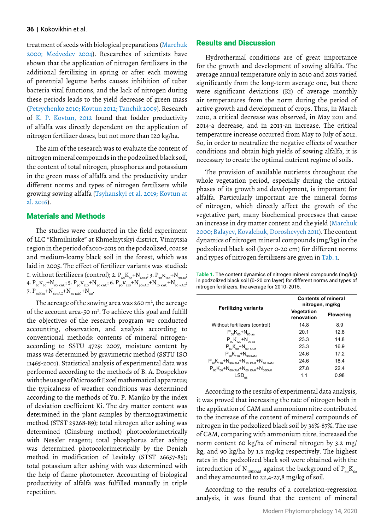#### **36** | Kokovikhin et al.

treatment of seeds with biological preparations (Marchuk 2000; Medvedev 2004). Researches of scientists have shown that the application of nitrogen fertilizers in the additional fertilizing in spring or after each mowing of perennial legume herbs causes inhibition of tuber bacteria vital functions, and the lack of nitrogen during these periods leads to the yield decrease of green mass (Petrychenko 2010; Kovtun 2012; Tanchik 2009). Research of K. P. Kovtun, 2012 found that fodder productivity of alfalfa was directly dependent on the application of nitrogen fertilizer doses, but not more than 120 kg/ha.

The aim of the research was to evaluate the content of nitrogen mineral compounds in the podzolized black soil, the content of total nitrogen, phosphorus and potassium in the green mass of alfalfa and the productivity under different norms and types of nitrogen fertilizers while growing sowing alfalfa (Tsyhanskyi et al. 2019; Kovtun at al. 2016).

## Materials and Methods

The studies were conducted in the field experiment of LLC "Khmilnitske" at Khmelnytskyi district, Vinnytsia region in the period of 2010-2015 on the podzolized, coarse and medium-loamy black soil in the forest, which was laid in 2005. The effect of fertilizer variants was studied: 1. without fertilizers (control); 2.  $P_{60}K_{60}+N_{6023}$ ; 3.  $P_{90}K_{120}+N_{9023}$ ; 4.  $P_{60}K_{60}+N_{60 \text{ KAC}}$ ; 5.  $P_{90}K_{120}+N_{90 \text{ KAC}}$ ; 6.  $P_{90}K_{120}+N_{90 \text{ KAC}}+N_{10 \text{ KAC}}+N_{10 \text{ KAC}}$ ; 7.  $P_{60K60} + N_{60KAC} + N_{60KAC} + N_{60}$ .

The acreage of the sowing area was 260 m<sup>2</sup>, the acreage of the account area-50  $m^2$ . To achieve this goal and fulfill the objectives of the research program we conducted accounting, observation, and analysis according to conventional methods: contents of mineral nitrogenaccording to SSTU 4729: 2007, moisture content by mass was determined by gravimetric method (SSTU ISO 11465-2001). Statistical analysis of experimental data was performed according to the methods of B. A. Dospekhov with the usage of Microsoft Excel mathematical apparatus; the typicalness of weather conditions was determined according to the methods of Yu. P. Manjko by the index of deviation coefficient Ki. The dry matter content was determined in the plant samples by thermogravimetric method (STST 29268-89); total nitrogen after ashing was determined (Ginsburg method) photocolorimetrically with Nessler reagent; total phosphorus after ashing was determined photocolorimetrically by the Denizh method in modification of Levitsky (STST 26657-85); total potassium after ashing with was determined with the help of flame photometer. Accounting of biological productivity of alfalfa was fulfilled manually in triple repetition.

### Results and Discussion

Hydrothermal conditions are of great importance for the growth and development of sowing alfalfa. The average annual temperature only in 2010 and 2015 varied significantly from the long-term average one, but there were significant deviations (Ki) of average monthly air temperatures from the norm during the period of active growth and development of crops. Thus, in March 2010, a critical decrease was observed, in May 2011 and 2014-a decrease, and in 2013-an increase. The critical temperature increase occurred from May to July of 2012. So, in order to neutralize the negative effects of weather conditions and obtain high yields of sowing alfalfa, it is necessary to create the optimal nutrient regime of soils.

The provision of available nutrients throughout the whole vegetation period, especially during the critical phases of its growth and development, is important for alfalfa. Particularly important are the mineral forms of nitrogen, which directly affect the growth of the vegetative part, many biochemical processes that cause an increase in dry matter content and the yield (Marchuk 2000; Balayev, Kovalchuk, Doroshevych 2011). The content dynamics of nitrogen mineral compounds (mg/kg) in the podzolized black soil (layer 0-20 cm) for different norms and types of nitrogen fertilizers are given in Tab. 1.

**Table 1.** The content dynamics of nitrogen mineral compounds (mg/kg) in podzolized black soil (0-20 cm layer) for different norms and types of nitrogen fertilizers, the average for 2010-2015.

| <b>Fertilizing variants</b>                         | <b>Contents of mineral</b><br>nitrogen, mg/kg |                  |  |
|-----------------------------------------------------|-----------------------------------------------|------------------|--|
|                                                     | Vegetation<br>renovation                      | <b>Flowering</b> |  |
| Without fertilizers (control)                       | 14.8                                          | 8.9              |  |
| $P_{60}K_{60}+N_{60\,aa}$                           | 20.1                                          | 12.8             |  |
| $P_{90}K_{120} + N_{90 \text{ aa}}$                 | 23.3                                          | 14.8             |  |
| $P_{60}K_{60}+N_{60 KAM}$                           | 23.3                                          | 16.9             |  |
| $P_{90}K_{120}+N_{90 KAM}$                          | 24.6                                          | 17.2             |  |
| $P_{90}K_{120} + N_{90KAM} + N_{10KAM} + N_{10KAM}$ | 24.6                                          | 18.4             |  |
| $P_{60}K_{60}+N_{60KAM}+N_{60KAM}+N_{60KAM}$        | 27.8                                          | 22.4             |  |
| $LSD_{05}$                                          | 1.1                                           | 0.98             |  |

According to the results of experimental data analysis, it was proved that increasing the rate of nitrogen both in the application of CAM and ammonium nitre contributed to the increase of the content of mineral compounds of nitrogen in the podzolized black soil by 36%-87%. The use of CAM, comparing with ammonium nitre, increased the norm content 60 kg/ha of mineral nitrogen by 3.2 mg/ kg, and 90 kg/ha by 1.3 mg/kg respectively. The highest rates in the podzolized black soil were obtained with the introduction of N<sub>180KAM</sub> against the background of P<sub>60</sub>K<sub>60</sub> and they amounted to 22,4-27,8 mg/kg of soil.

According to the results of a correlation-regression analysis, it was found that the content of mineral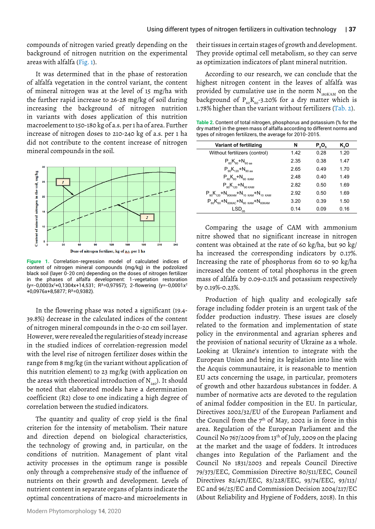compounds of nitrogen varied greatly depending on the background of nitrogen nutrition on the experimental areas with alfalfa (Fig. 1).

It was determined that in the phase of restoration of alfalfa vegetation in the control variant, the content of mineral nitrogen was at the level of 15 mg/ha with the further rapid increase to 26-28 mg/kg of soil during increasing the background of nitrogen nutrition in variants with doses application of this nutrition macroelement to 150-180 kg of a.s. per 1 ha of area. Further increase of nitrogen doses to 210-240 kg of a.s. per 1 ha did not contribute to the content increase of nitrogen mineral compounds in the soil.



**Figure 1.** Correlation-regression model of calculated indices of content of nitrogen mineral compounds (mg/kg) in the podzolized black soil (layer 0-20 cm) depending on the doses of nitrogen fertilizer in the phases of alfalfa development: 1-vegetation restoration (y=-0,0003x<sup>2</sup> +0,1304x+14,531; R²=0,97957); 2-flowering (y=-0,0001x<sup>2</sup> +0,0976x+8,5877; R²=0,9382).

In the flowering phase was noted a significant (19.4- 39.8%) decrease in the calculated indices of the content of nitrogen mineral compounds in the 0-20 cm soil layer. However, were revealed the regularities of steady increase in the studied indices of correlation-regression model with the level rise of nitrogen fertilizer doses within the range from 8 mg/kg (in the variant without application of this nutrition element) to 23 mg/kg (with application on the areas with theoretical introduction of  $N_{240}$ ). It should be noted that elaborated models have a determination coefficient (R2) close to one indicating a high degree of correlation between the studied indicators.

The quantity and quality of crop yield is the final criterion for the intensity of metabolism. Their nature and direction depend on biological characteristics, the technology of growing and, in particular, on the conditions of nutrition. Management of plant vital activity processes in the optimum range is possible only through a comprehensive study of the influence of nutrients on their growth and development. Levels of nutrient content in separate organs of plants indicate the optimal concentrations of macro-and microelements in

Modern Phytomorphology **14**, 2020

their tissues in certain stages of growth and development. They provide optimal cell metabolism, so they can serve as optimization indicators of plant mineral nutrition.

According to our research, we can conclude that the highest nitrogen content in the leaves of alfalfa was provided by cumulative use in the norm  $N_{180KAM}$  on the background of  $P_{60}K_{60}$ -3.20% for a dry matter which is 1.78% higher than the variant without fertilizers (Tab. 2).

**Table 2.** Content of total nitrogen, phosphorus and potassium (% for the dry matter) in the green mass of alfalfa according to different norms and types of nitrogen fertilizers, the average for 2010-2015.

| Variant of fertilizing                                           | N    | $P_{2}O_{5}$ | K,O  |
|------------------------------------------------------------------|------|--------------|------|
| Without fertilizers (control)                                    | 1.42 | 0.28         | 1.20 |
| $P_{60}K_{60}+N_{60\,aa}$                                        | 2.35 | 0.38         | 1.47 |
| $P_{.90}K_{.120} + N_{.90 \text{ aa}}$                           | 2.65 | 049          | 1.70 |
| $P_{60}K_{60}+N_{60 KAM}$                                        | 2.48 | 0.40         | 1.49 |
| $P_{90}K_{120}+N_{90 KAM}$                                       | 2.82 | 0.50         | 1.69 |
| $P_{90}K_{120} + N_{90KAM} + N_{10KAM} + N_{10KAM}$              | 2.92 | 0.50         | 1.69 |
| $P_{\rm an}K_{\rm an}+N_{\rm fokac}+N_{\rm fokam}+N_{\rm fokam}$ | 3.20 | 0.39         | 1.50 |
| $\mathsf{LSD}_{05}$                                              | 0.14 | 0.09         | 0.16 |

Comparing the usage of CAM with ammonium nitre showed that no significant increase in nitrogen content was obtained at the rate of 60 kg/ha, but 90 kg/ ha increased the corresponding indicators by 0.17%. Increasing the rate of phosphorus from 60 to 90 kg/ha increased the content of total phosphorus in the green mass of alfalfa by 0.09-0.11% and potassium respectively by 0.19%-0.23%.

Production of high quality and ecologically safe forage including fodder protein is an urgent task of the fodder production industry. These issues are closely related to the formation and implementation of state policy in the environmental and agrarian spheres and the provision of national security of Ukraine as a whole. Looking at Ukraine's intention to integrate with the European Union and bring its legislation into line with the Acquis communautaire, it is reasonable to mention EU acts concerning the usage, in particular, promoters of growth and other hazardous substances in fodder. A number of normative acts are devoted to the regulation of animal fodder composition in the EU. In particular, Directives 2002/32/EU of the European Parliament and the Council from the  $7<sup>th</sup>$  of May, 2002 is in force in this area. Regulation of the European Parliament and the Council No 767/2009 from 13th of July, 2009 on the placing at the market and the usage of fodders. It introduces changes into Regulation of the Parliament and the Council No 1831/2003 and repeals Council Directive 79/373/EEC, Commission Directive 80/511/EEC, Council Directives 82/471/EEC, 83/228/EEC, 93/74/EEC, 93/113/ EC and 96/25/EC and Commission Decision 2004/217/EC (About Reliability and Hygiene of Fodders, 2018). In this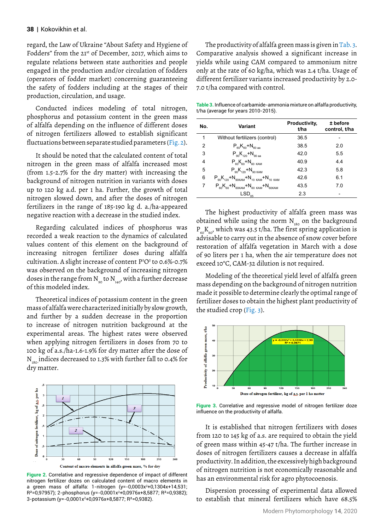regard, the Law of Ukraine "About Safety and Hygiene of Fodders" from the 21st of December, 2017, which aims to regulate relations between state authorities and people engaged in the production and/or circulation of fodders (operators of fodder market) concerning guaranteeing the safety of fodders including at the stages of their production, circulation, and usage.

Conducted indices modeling of total nitrogen, phosphorus and potassium content in the green mass of alfalfa depending on the influence of different doses of nitrogen fertilizers allowed to establish significant fluctuations between separate studied parameters (Fig. 2).

It should be noted that the calculated content of total nitrogen in the green mass of alfalfa increased most (from 1.5-2.7% for the dry matter) with increasing the background of nitrogen nutrition in variants with doses up to 120 kg a.d. per 1 ha. Further, the growth of total nitrogen slowed down, and after the doses of nitrogen fertilizers in the range of 185-190 kg d. a./ha-appeared negative reaction with a decrease in the studied index.

Regarding calculated indices of phosphorus was recorded a weak reaction to the dynamics of calculated values content of this element on the background of increasing nitrogen fertilizer doses during alfalfa cultivation. A slight increase of content P2 O5 to 0.6%-0.7% was observed on the background of increasing nitrogen doses in the range from  $N_{\text{eq}}$  to  $N_{\text{eq}}$ , with a further decrease of this modeled index.

Theoretical indices of potassium content in the green mass of alfalfa were characterized initially by slow growth, and further by a sudden decrease in the proportion to increase of nitrogen nutrition background at the experimental areas. The highest rates were observed when applying nitrogen fertilizers in doses from 70 to 100 kg of a.s./ha-1.6-1.9% for dry matter after the dose of  $N_{180}$  indices decreased to 1.3% with further fall to 0.4% for dry matter.



**Figure 2.** Correlative and regressive dependence of impact of different nitrogen fertilizer dozes on calculated content of macro elements in a green mass of alfalfa: 1-nitrogen (y=-0,0003x²+0,1304x+14,531; R²=0,97957); 2-phosphorus (y=-0,0001x<sup>2</sup> +0,0976x+8,5877; R²=0,9382); 3-potassium (y=-0,0001x<sup>2</sup> +0,0976x+8,5877; R²=0,9382).

The productivity of alfalfa green mass is given in Tab. 3. Comparative analysis showed a significant increase in yields while using CAM compared to ammonium nitre only at the rate of 60 kg/ha, which was 2.4 t/ha. Usage of different fertilizer variants increased productivity by 2.0- 7.0 t/ha compared with control.

**Table 3.** Influence of carbamide-ammonia mixture on alfalfa productivity, t/ha (average for years 2010-2015).

| No. | Variant                                                            | Productivity.<br>t/ha | ± before<br>control, t/ha |
|-----|--------------------------------------------------------------------|-----------------------|---------------------------|
| 1   | Without fertilizers (control)                                      | 36.5                  |                           |
| 2   | $P_{60}K_{60}+N_{60 \text{ aa}}$                                   | 38.5                  | 2.0                       |
| 3   | $P_{.90}K_{.120} + N_{.90 \text{ aa}}$                             | 42.0                  | 5.5                       |
| 4   | $P_{60}K_{60}+N_{60 KAM}$                                          | 40.9                  | 4.4                       |
| 5   | $P_{\alpha}K_{120} + N_{90 KAM}$                                   | 42.3                  | 5.8                       |
| 6   | $P_{90}K_{120} + N_{90KAM} + N_{10KAM} + N_{10KAM}$                | 42.6                  | 6.1                       |
| 7   | $P_{\rm 60}K_{\rm 60}N}+N_{\rm 60KAM}+N_{\rm 60KAM}+N_{\rm 60KAM}$ | 43.5                  | 7.0                       |
|     | $\mathsf{LSD}_{05}$                                                | 2.3                   |                           |

The highest productivity of alfalfa green mass was obtained while using the norm  $N_{180}$  on the background  $P_{60}K_{60}$ , which was 43.5 t/ha. The first spring application is advisable to carry out in the absence of snow cover before restoration of alfalfa vegetation in March with a dose of 90 liters per 1 ha, when the air temperature does not exceed 10°C, CAM-32 dilution is not required.

Modeling of the theoretical yield level of alfalfa green mass depending on the background of nitrogen nutrition made it possible to determine clearly the optimal range of fertilizer doses to obtain the highest plant productivity of the studied crop (Fig. 3).



**Figure 3.** Correlative and regressive model of nitrogen fertilizer doze influence on the productivity of alfalfa.

It is established that nitrogen fertilizers with doses from 120 to 145 kg of a.s. are required to obtain the yield of green mass within 45-47 t/ha. The further increase in doses of nitrogen fertilizers causes a decrease in alfalfa productivity. In addition, the excessively high background of nitrogen nutrition is not economically reasonable and has an environmental risk for agro phytocoenosis.

Dispersion processing of experimental data allowed to establish that mineral fertilizers which have 68.5%